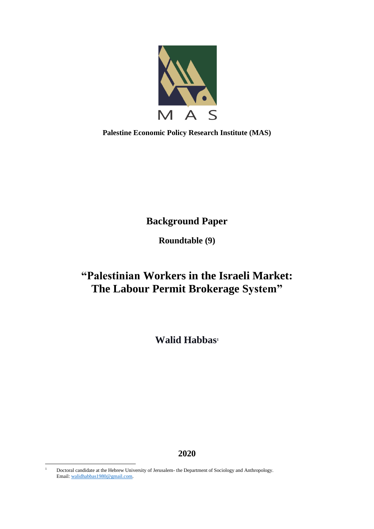

**Palestine Economic Policy Research Institute (MAS)**

**Background Paper**

**Roundtable (9)**

# **"Palestinian Workers in the Israeli Market: The Labour Permit Brokerage System"**

**Walid Habbas<sup>1</sup>**

**2020**

<sup>-</sup><sup>1</sup> Doctoral candidate at the Hebrew University of Jerusalem- the Department of Sociology and Anthropology. Email[: walidhabbas1980@gmail.com.](mailto:walidhabbas1980@gmail.com)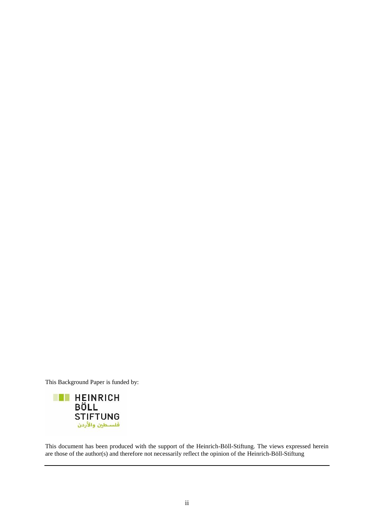This Background Paper is funded by:



This document has been produced with the support of the Heinrich-Böll-Stiftung. The views expressed herein are those of the author(s) and therefore not necessarily reflect the opinion of the Heinrich-Böll-Stiftung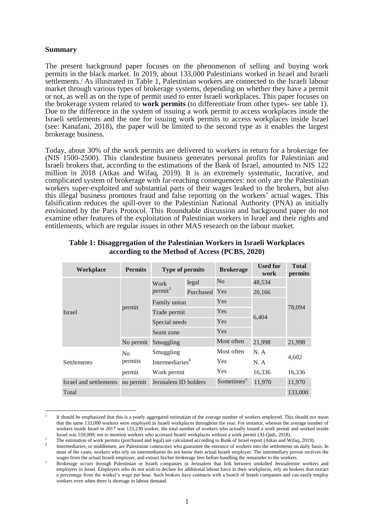#### **Summary**

-

The present background paper focuses on the phenomenon of selling and buying work permits in the black market. In 2019, about 133,000 Palestinians worked in Israel and Israeli settlements.<sup>2</sup> As illustrated in Table 1, Palestinian workers are connected to the Israeli labour market through various types of brokerage systems, depending on whether they have a permit or not, as well as on the type of permit used to enter Israeli workplaces. This paper focuses on the brokerage system related to **work permits** (to differentiate from other types- see table 1). Due to the difference in the system of issuing a work permit to access workplaces inside the Israeli settlements and the one for issuing work permits to access workplaces inside Israel (see: Kanafani, 2018), the paper will be limited to the second type as it enables the largest brokerage business.

Today, about 30% of the work permits are delivered to workers in return for a brokerage fee (NIS 1500-2500). This clandestine business generates personal profits for Palestinian and Israeli brokers that, according to the estimations of the Bank of Israel, amounted to NIS 122 million in 2018 (Atkas and Wifaq, 2019). It is an extremely systematic, lucrative, and complicated system of brokerage with far-reaching consequences: not only are the Palestinian workers super-exploited and substantial parts of their wages leaked to the brokers, but also this illegal business promotes fraud and false reporting on the workers' actual wages. This falsification reduces the spill-over to the Palestinian National Authority (PNA) as initially envisioned by the Paris Protocol. This Roundtable discussion and background paper do not examine other features of the exploitation of Palestinian workers in Israel and their rights and entitlements, which are regular issues in other MAS research on the labour market.

| <b>Workplace</b>                 | <b>Permits</b>                         | <b>Type of permits</b> |            | <b>Brokerage</b>       | <b>Used for</b><br>work | <b>Total</b><br>permits |
|----------------------------------|----------------------------------------|------------------------|------------|------------------------|-------------------------|-------------------------|
| Israel                           | permit                                 | Work<br>$permit^3$     | legal      | N <sub>o</sub>         | 48,534<br>20,166        |                         |
|                                  |                                        |                        | Purchased  | Yes                    |                         |                         |
|                                  |                                        | Family union           |            | Yes                    | 6,404                   | 78,094                  |
|                                  |                                        | Trade permit           |            | Yes                    |                         |                         |
|                                  |                                        | Special needs          |            | Yes                    |                         |                         |
|                                  |                                        | Seam zone              |            | Yes                    |                         |                         |
|                                  | No permit                              | Smuggling              |            | Most often             | 21,998                  | 21,998                  |
| Settlements                      | No                                     | Smuggling              |            | Most often             | N. A                    |                         |
|                                  | permits<br>Intermediaries <sup>4</sup> |                        | <b>Yes</b> |                        | N. A                    | 4,602                   |
|                                  | permit                                 | Work permit            |            | Yes                    | 16,336                  | 16,336                  |
| Israel and settlements no permit |                                        | Jerusalem ID holders   |            | Sometimes <sup>5</sup> | 11,970                  | 11,970                  |
| Total                            |                                        |                        |            |                        |                         | 133,000                 |

#### **Table 1: Disaggregation of the Palestinian Workers in Israeli Workplaces according to the Method of Access (PCBS, 2020)**

<sup>2</sup> It should be emphasized that this is a yearly aggregated estimation of the average number of workers employed. This should not mean that the same 133,000 workers were employed in Israeli workplaces throughout the year. For instance, whereas the average number of workers inside Israel in 2017 was 123,230 worker, the total number of workers who actually issued a work permit and worked inside Israel was 559,000; not to mention workers who accessed Israeli workplaces without a work permit (Al-Qadi, 2018).

<sup>3</sup> The estimation of work permits (purchased and legal) are calculated according to Bank of Israel report (Atkas and Wifaq, 2019).

<sup>4</sup> Intermediaries, or middlemen, are Palestinian contractors who guarantee the entrance of workers into the settlements on daily basis. In most of the cases, workers who rely on intermediaries do not know their actual Israeli employer. The intermediary person receives the wages from the actual Israeli employer, and extract his/her brokerage fees before handling the remainder to the workers.

<sup>5</sup> Brokerage occurs through Palestinian or Israeli companies in Jerusalem that link between unskilled Jerusalemite workers and employers in Israel. Employers who do not wish to declare for additional labour force in their workplaces, rely on brokers that extract a percentage from the worker's wage per hour. Such brokers have contracts with a bunch of Israeli companies and can easily employ workers even when there is shortage in labour demand.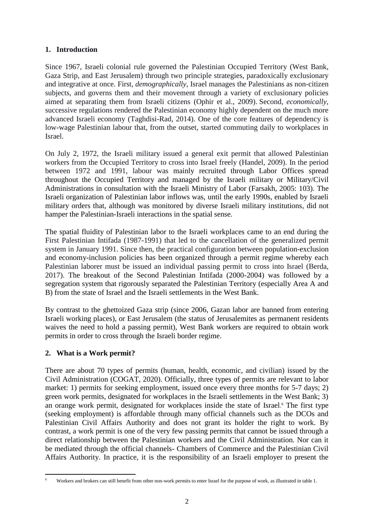## **1. Introduction**

Since 1967, Israeli colonial rule governed the Palestinian Occupied Territory (West Bank, Gaza Strip, and East Jerusalem) through two principle strategies, paradoxically exclusionary and integrative at once. First, *demographically*, Israel manages the Palestinians as non-citizen subjects, and governs them and their movement through a variety of exclusionary policies aimed at separating them from Israeli citizens (Ophir et al., 2009). Second, *economically*, successive regulations rendered the Palestinian economy highly dependent on the much more advanced Israeli economy (Taghdisi-Rad, 2014). One of the core features of dependency is low-wage Palestinian labour that, from the outset, started commuting daily to workplaces in Israel.

On July 2, 1972, the Israeli military issued a general exit permit that allowed Palestinian workers from the Occupied Territory to cross into Israel freely (Handel, 2009). In the period between 1972 and 1991, labour was mainly recruited through Labor Offices spread throughout the Occupied Territory and managed by the Israeli military or Military/Civil Administrations in consultation with the Israeli Ministry of Labor (Farsakh, 2005: 103). The Israeli organization of Palestinian labor inflows was, until the early 1990s, enabled by Israeli military orders that, although was monitored by diverse Israeli military institutions, did not hamper the Palestinian-Israeli interactions in the spatial sense.

The spatial fluidity of Palestinian labor to the Israeli workplaces came to an end during the First Palestinian Intifada (1987-1991) that led to the cancellation of the generalized permit system in January 1991. Since then, the practical configuration between population-exclusion and economy-inclusion policies has been organized through a permit regime whereby each Palestinian laborer must be issued an individual passing permit to cross into Israel (Berda, 2017). The breakout of the Second Palestinian Intifada (2000-2004) was followed by a segregation system that rigorously separated the Palestinian Territory (especially Area A and B) from the state of Israel and the Israeli settlements in the West Bank.

By contrast to the ghettoized Gaza strip (since 2006, Gazan labor are banned from entering Israeli working places), or East Jerusalem (the status of Jerusalemites as permanent residents waives the need to hold a passing permit), West Bank workers are required to obtain work permits in order to cross through the Israeli border regime.

# **2. What is a Work permit?**

There are about 70 types of permits (human, health, economic, and civilian) issued by the Civil Administration (COGAT, 2020). Officially, three types of permits are relevant to labor market: 1) permits for seeking employment, issued once every three months for 5-7 days; 2) green work permits, designated for workplaces in the Israeli settlements in the West Bank; 3) an orange work permit, designated for workplaces inside the state of Israel. <sup>6</sup> The first type (seeking employment) is affordable through many official channels such as the DCOs and Palestinian Civil Affairs Authority and does not grant its holder the right to work. By contrast, a work permit is one of the very few passing permits that cannot be issued through a direct relationship between the Palestinian workers and the Civil Administration. Nor can it be mediated through the official channels- Chambers of Commerce and the Palestinian Civil Affairs Authority. In practice, it is the responsibility of an Israeli employer to present the

<sup>-</sup><sup>6</sup> Workers and brokers can still benefit from other non-work permits to enter Israel for the purpose of work, as illustrated in table 1.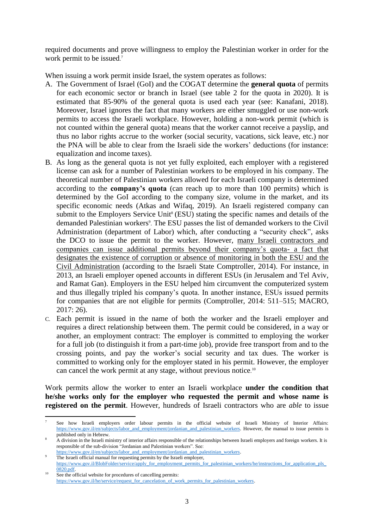required documents and prove willingness to employ the Palestinian worker in order for the work permit to be issued.<sup>7</sup>

When issuing a work permit inside Israel, the system operates as follows:

- A. The Government of Israel (GoI) and the COGAT determine the **general quota** of permits for each economic sector or branch in Israel (see table 2 for the quota in 2020). It is estimated that 85-90% of the general quota is used each year (see: Kanafani, 2018). Moreover, Israel ignores the fact that many workers are either smuggled or use non-work permits to access the Israeli workplace. However, holding a non-work permit (which is not counted within the general quota) means that the worker cannot receive a payslip, and thus no labor rights accrue to the worker (social security, vacations, sick leave, etc.) nor the PNA will be able to clear from the Israeli side the workers' deductions (for instance: equalization and income taxes).
- B. As long as the general quota is not yet fully exploited, each employer with a registered license can ask for a number of Palestinian workers to be employed in his company. The theoretical number of Palestinian workers allowed for each Israeli company is determined according to the **company's quota** (can reach up to more than 100 permits) which is determined by the GoI according to the company size, volume in the market, and its specific economic needs (Atkas and Wifaq, 2019). An Israeli registered company can submit to the Employers Service Unit<sup>8</sup> (ESU) stating the specific names and details of the demanded Palestinian workers<sup>9</sup>. The ESU passes the list of demanded workers to the Civil Administration (department of Labor) which, after conducting a "security check", asks the DCO to issue the permit to the worker. However, many Israeli contractors and companies can issue additional permits beyond their company's quota- a fact that designates the existence of corruption or absence of monitoring in both the ESU and the Civil Administration (according to the Israeli State Comptroller, 2014). For instance, in 2013, an Israeli employer opened accounts in different ESUs (in Jerusalem and Tel Aviv, and Ramat Gan). Employers in the ESU helped him circumvent the computerized system and thus illegally tripled his company's quota. In another instance, ESUs issued permits for companies that are not eligible for permits (Comptroller, 2014: 511–515; MACRO, 2017: 26).
- C. Each permit is issued in the name of both the worker and the Israeli employer and requires a direct relationship between them. The permit could be considered, in a way or another, an employment contract: The employer is committed to employing the worker for a full job (to distinguish it from a part-time job), provide free transport from and to the crossing points, and pay the worker's social security and tax dues. The worker is committed to working only for the employer stated in his permit. However, the employer can cancel the work permit at any stage, without previous notice.<sup>10</sup>

Work permits allow the worker to enter an Israeli workplace **under the condition that he/she works only for the employer who requested the permit and whose name is registered on the permit**. However, hundreds of Israeli contractors who are *able* to issue

-

<sup>7</sup> See how Israeli employers order labour permits in the official website of Israeli Ministry of Interior Affairs: [https://www.gov.il/en/subjects/labor\\_and\\_employment/jordanian\\_and\\_palestinian\\_workers.](https://www.gov.il/en/subjects/labor_and_employment/jordanian_and_palestinian_workers) However, the manual to issue permits is published only in Hebrew.

<sup>8</sup> A division in the Israeli ministry of interior affairs responsible of the relationships between Israeli employers and foreign workers. It is responsible of the sub-division "Jordanian and Palestinian workers". See:

[https://www.gov.il/en/subjects/labor\\_and\\_employment/jordanian\\_and\\_palestinian\\_workers.](https://www.gov.il/en/subjects/labor_and_employment/jordanian_and_palestinian_workers)  The Israeli official manual for requesting permits by the Israeli employer,

[https://www.gov.il/BlobFolder/service/apply\\_for\\_employment\\_permits\\_for\\_palestinian\\_workers/he/instructions\\_for\\_application\\_pls\\_](https://www.gov.il/BlobFolder/service/apply_for_employment_permits_for_palestinian_workers/he/instructions_for_application_pls_0820.pdf) [0820.pdf.](https://www.gov.il/BlobFolder/service/apply_for_employment_permits_for_palestinian_workers/he/instructions_for_application_pls_0820.pdf)  <sup>10</sup> See the official website for procedures of cancelling permits:

https://www.gov.il/he/service/request\_for\_cancelation\_of\_work\_permits\_for\_palestinian\_workers.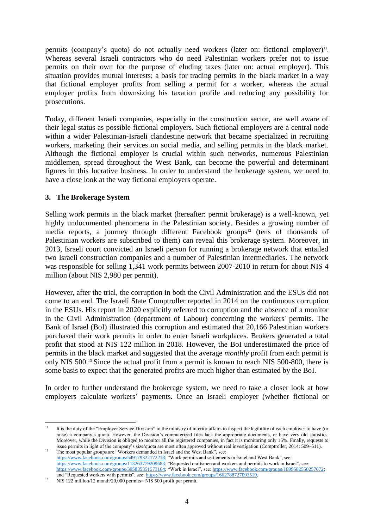permits (company's quota) do not actually need workers (later on: fictional employer)<sup>11</sup>. Whereas several Israeli contractors who do need Palestinian workers prefer not to issue permits on their own for the purpose of eluding taxes (later on: actual employer). This situation provides mutual interests; a basis for trading permits in the black market in a way that fictional employer profits from selling a permit for a worker, whereas the actual employer profits from downsizing his taxation profile and reducing any possibility for prosecutions.

Today, different Israeli companies, especially in the construction sector, are well aware of their legal status as possible fictional employers. Such fictional employers are a central node within a wider Palestinian-Israeli clandestine network that became specialized in recruiting workers, marketing their services on social media, and selling permits in the black market. Although the fictional employer is crucial within such networks, numerous Palestinian middlemen, spread throughout the West Bank, can become the powerful and determinant figures in this lucrative business. In order to understand the brokerage system, we need to have a close look at the way fictional employers operate.

## **3. The Brokerage System**

Selling work permits in the black market (hereafter: permit brokerage) is a well-known, yet highly undocumented phenomena in the Palestinian society. Besides a growing number of media reports, a journey through different Facebook groups<sup>12</sup> (tens of thousands of Palestinian workers are subscribed to them) can reveal this brokerage system. Moreover, in 2013, Israeli court convicted an Israeli person for running a brokerage network that entailed two Israeli construction companies and a number of Palestinian intermediaries. The network was responsible for selling 1,341 work permits between 2007-2010 in return for about NIS 4 million (about NIS 2,980 per permit).

However, after the trial, the corruption in both the Civil Administration and the ESUs did not come to an end. The Israeli State Comptroller reported in 2014 on the continuous corruption in the ESUs. His report in 2020 explicitly referred to corruption and the absence of a monitor in the Civil Administration (department of Labour) concerning the workers' permits. The Bank of Israel (BoI) illustrated this corruption and estimated that 20,166 Palestinian workers purchased their work permits in order to enter Israeli workplaces. Brokers generated a total profit that stood at NIS 122 million in 2018. However, the BoI underestimated the price of permits in the black market and suggested that the average *monthly* profit from each permit is only NIS 500.<sup>13</sup> Since the actual profit from a permit is known to reach NIS 500-800, there is some basis to expect that the generated profits are much higher than estimated by the BoI.

In order to further understand the brokerage system, we need to take a closer look at how employers calculate workers' payments. Once an Israeli employer (whether fictional or

 $11$ <sup>11</sup> It is the duty of the "Employer Service Division" in the ministry of interior affairs to inspect the legibility of each employer to have (or raise) a company's quota. However, the Division's computerized files lack the appropriate documents, or have very old statistics. Moreover, while the Division is obliged to monitor all the registered companies, in fact it is monitoring only 15%. Finally, requests to issue permits in light of the company's size/quota are most often approved without real investigation (Comptroller, 2014: 509–511).

<sup>&</sup>lt;sup>12</sup> The most popular groups are "Workers demanded in Israel and the West Bank", see: [https://www.facebook.com/groups/549179322172218;](https://www.facebook.com/groups/549179322172218) "Work permits and settlements in Israel and West Bank", see: [https://www.facebook.com/groups/113263779209683;](https://www.facebook.com/groups/113263779209683) "Requested craftsmen and workers and permits to work in Israel", see: [https://www.facebook.com/groups/385835351573164;](https://www.facebook.com/groups/385835351573164) "Work in Israel", see: [https://www.facebook.com/groups/1899582550257672;](https://www.facebook.com/groups/1899582550257672) and "Requested workers with permits", see[: https://www.facebook.com/groups/1662788727093519.](https://www.facebook.com/groups/1662788727093519) 

<sup>&</sup>lt;sup>13</sup> NIS 122 million/12 month/20,000 permits= NIS 500 profit per permit.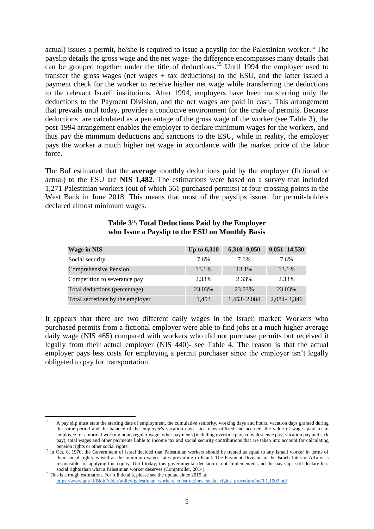actual) issues a permit, he/she is required to issue a payslip for the Palestinian worker.<sup>14</sup> The payslip details the gross wage and the net wage- the difference encompasses many details that can be grouped together under the title of deductions. <sup>15</sup> Until 1994 the employer used to transfer the gross wages (net wages  $+$  tax deductions) to the ESU, and the latter issued a payment check for the worker to receive his/her net wage while transferring the deductions to the relevant Israeli institutions. After 1994, employers have been transferring only the deductions to the Payment Division, and the net wages are paid in cash. This arrangement that prevails until today, provides a conducive environment for the trade of permits. Because deductions are calculated as a percentage of the gross wage of the worker (see Table 3), the post-1994 arrangement enables the employer to declare minimum wages for the workers, and thus pay the minimum deductions and sanctions to the ESU, while in reality, the employer pays the worker a much higher net wage in accordance with the market price of the labor force.

The BoI estimated that the **average** monthly deductions paid by the employer (fictional or actual) to the ESU are **NIS 1,482**. The estimations were based on a survey that included 1,271 Palestinian workers (out of which 561 purchased permits) at four crossing points in the West Bank in June 2018. This means that most of the payslips issued for permit-holders declared almost minimum wages.

| <b>Wage in NIS</b>               | <b>Up to 6,310</b> | 6,310-9,050   | 9,051 - 14,530 |
|----------------------------------|--------------------|---------------|----------------|
| Social security                  | 7.6%               | 7.6%          | 7.6%           |
| Comprehensive Pension            | 13.1%              | 13.1%         | 13.1%          |
| Competition to severance pay     | 2.33%              | 2.33%         | 2.33%          |
| Total deductions (percentage)    | 23.03%             | 23.03%        | 23.03%         |
| Total secretions by the employer | 1,453              | 1,453 - 2,084 | 2,084 - 3,346  |

#### **Table 3<sup>16</sup>: Total Deductions Paid by the Employer who Issue a Payslip to the ESU on Monthly Basis**

It appears that there are two different daily wages in the Israeli market: Workers who purchased permits from a fictional employer were able to find jobs at a much higher average daily wage (NIS 465) compared with workers who did not purchase permits but received it legally from their actual employer (NIS 440)- see Table 4. The reason is that the actual employer pays less costs for employing a permit purchaser since the employer isn't legally obligated to pay for transportation.

<sup>-</sup><sup>14</sup> A pay slip must state the starting date of employment, the cumulative seniority, working days and hours, vacation days granted during the same period and the balance of the employee's vacation days, sick days utilized and accrued, the value of wages paid to an employee for a normal working hour, regular wage, other payments (including overtime pay, convalescence pay, vacation pay and sick pay), total wages and other payments liable to income tax and social security contributions that are taken into account for calculating pension rights or other social rights.

<sup>&</sup>lt;sup>15</sup> In Oct. 8, 1970, the Government of Israel decided that Palestinian workers should be treated as equal to any Israeli worker in terms of their social rights as well as the minimum wages rates prevailing in Israel. The Payment Division in the Israeli Interior Affairs is responsible for applying this equity. Until today, this governmental decision is not implemented, and the pay slips still declare less social rights than what a Palestinian worker deserves (Comptroller, 2014). <sup>16</sup> This is a rough estimation. For full details, please see the update since 2019 at:

[https://www.gov.il/BlobFolder/policy/palestinian\\_workers\\_constructions\\_social\\_rights\\_procedure/he/9.1.1003.pdf.](https://www.gov.il/BlobFolder/policy/palestinian_workers_constructions_social_rights_procedure/he/9.1.1003.pdf)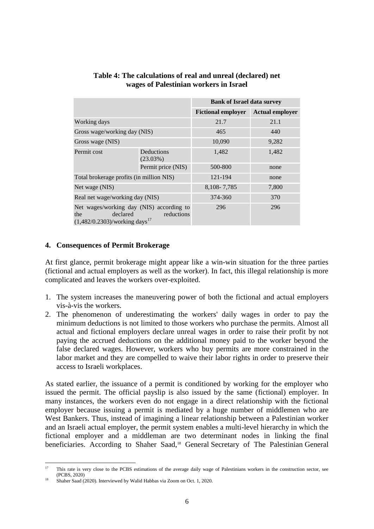|                                                                                                                           |                           | <b>Bank of Israel data survey</b> |                        |
|---------------------------------------------------------------------------------------------------------------------------|---------------------------|-----------------------------------|------------------------|
|                                                                                                                           |                           | <b>Fictional employer</b>         | <b>Actual employer</b> |
| Working days                                                                                                              |                           | 21.7                              | 21.1                   |
| Gross wage/working day (NIS)                                                                                              |                           | 465                               | 440                    |
| Gross wage (NIS)                                                                                                          |                           | 10,090                            | 9,282                  |
| Permit cost                                                                                                               | Deductions<br>$(23.03\%)$ | 1,482                             | 1,482                  |
|                                                                                                                           | Permit price (NIS)        | 500-800                           | none                   |
| Total brokerage profits (in million NIS)                                                                                  |                           | 121-194                           | none                   |
| Net wage (NIS)                                                                                                            |                           | 8,108-7,785                       | 7,800                  |
| Real net wage/working day (NIS)                                                                                           |                           | 374-360                           | 370                    |
| Net wages/working day (NIS) according to<br>declared<br>reductions<br>the<br>$(1,482/0.2303)$ /working days <sup>17</sup> |                           | 296                               | 296                    |

#### **Table 4: The calculations of real and unreal (declared) net wages of Palestinian workers in Israel**

## **4. Consequences of Permit Brokerage**

At first glance, permit brokerage might appear like a win-win situation for the three parties (fictional and actual employers as well as the worker). In fact, this illegal relationship is more complicated and leaves the workers over-exploited.

- 1. The system increases the maneuvering power of both the fictional and actual employers vis-à-vis the workers.
- 2. The phenomenon of underestimating the workers' daily wages in order to pay the minimum deductions is not limited to those workers who purchase the permits. Almost all actual and fictional employers declare unreal wages in order to raise their profit by not paying the accrued deductions on the additional money paid to the worker beyond the false declared wages. However, workers who buy permits are more constrained in the labor market and they are compelled to waive their labor rights in order to preserve their access to Israeli workplaces.

As stated earlier, the issuance of a permit is conditioned by working for the employer who issued the permit. The official payslip is also issued by the same (fictional) employer. In many instances, the workers even do not engage in a direct relationship with the fictional employer because issuing a permit is mediated by a huge number of middlemen who are West Bankers. Thus, instead of imagining a linear relationship between a Palestinian worker and an Israeli actual employer, the permit system enables a multi-level hierarchy in which the fictional employer and a middleman are two determinant nodes in linking the final beneficiaries. According to Shaher Saad,<sup>18</sup> General Secretary of The Palestinian General

 $17$ This rate is very close to the PCBS estimations of the average daily wage of Palestinians workers in the construction sector, see (PCBS, 2020)

<sup>18</sup> Shaher Saad (2020). Interviewed by Walid Habbas via Zoom on Oct. 1, 2020.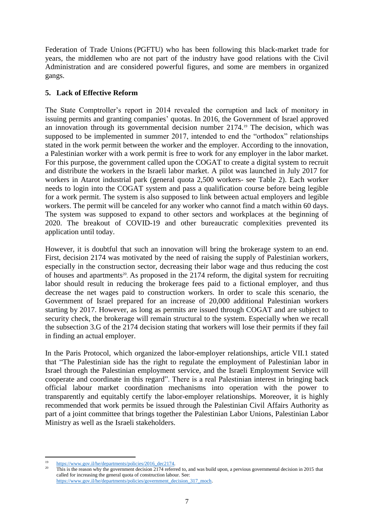Federation of Trade Unions (PGFTU) who has been following this black-market trade for years, the middlemen who are not part of the industry have good relations with the Civil Administration and are considered powerful figures, and some are members in organized gangs.

## **5. Lack of Effective Reform**

The State Comptroller's report in 2014 revealed the corruption and lack of monitory in issuing permits and granting companies' quotas. In 2016, the Government of Israel approved an innovation through its governmental decision number 2174. <sup>19</sup> The decision, which was supposed to be implemented in summer 2017, intended to end the "orthodox" relationships stated in the work permit between the worker and the employer. According to the innovation, a Palestinian worker with a work permit is free to work for any employer in the labor market. For this purpose, the government called upon the COGAT to create a digital system to recruit and distribute the workers in the Israeli labor market. A pilot was launched in July 2017 for workers in Atarot industrial park (general quota 2,500 workers- see Table 2). Each worker needs to login into the COGAT system and pass a qualification course before being legible for a work permit. The system is also supposed to link between actual employers and legible workers. The permit will be canceled for any worker who cannot find a match within 60 days. The system was supposed to expand to other sectors and workplaces at the beginning of 2020. The breakout of COVID-19 and other bureaucratic complexities prevented its application until today.

However, it is doubtful that such an innovation will bring the brokerage system to an end. First, decision 2174 was motivated by the need of raising the supply of Palestinian workers, especially in the construction sector, decreasing their labor wage and thus reducing the cost of houses and apartments<sup>20</sup>. As proposed in the 2174 reform, the digital system for recruiting labor should result in reducing the brokerage fees paid to a fictional employer, and thus decrease the net wages paid to construction workers. In order to scale this scenario, the Government of Israel prepared for an increase of 20,000 additional Palestinian workers starting by 2017. However, as long as permits are issued through COGAT and are subject to security check, the brokerage will remain structural to the system. Especially when we recall the subsection 3.G of the 2174 decision stating that workers will lose their permits if they fail in finding an actual employer.

In the Paris Protocol, which organized the labor-employer relationships, article VII.1 stated that "The Palestinian side has the right to regulate the employment of Palestinian labor in Israel through the Palestinian employment service, and the Israeli Employment Service will cooperate and coordinate in this regard". There is a real Palestinian interest in bringing back official labour market coordination mechanisms into operation with the power to transparently and equitably certify the labor-employer relationships. Moreover, it is highly recommended that work permits be issued through the Palestinian Civil Affairs Authority as part of a joint committee that brings together the Palestinian Labor Unions, Palestinian Labor Ministry as well as the Israeli stakeholders.

https://www.gov.il/he/departments/policies/2016\_dec2174.

<sup>20</sup> This is the reason why the government decision 2174 referred to, and was build upon, a pervious governmental decision in 2015 that called for increasing the general quota of construction labour. See: [https://www.gov.il/he/departments/policies/government\\_decision\\_317\\_moch.](https://www.gov.il/he/departments/policies/government_decision_317_moch)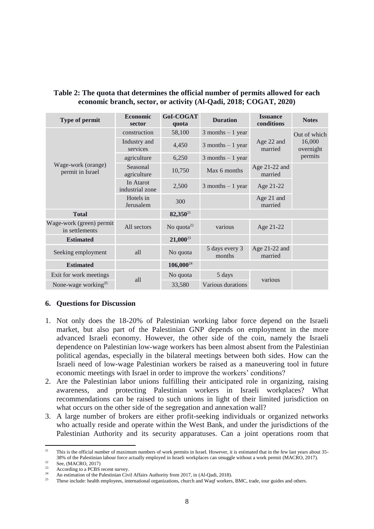| Type of permit                             | <b>Economic</b><br>sector    | <b>GoI-COGAT</b><br>quota | <b>Duration</b>          | <b>Issuance</b><br>conditions | <b>Notes</b>                   |
|--------------------------------------------|------------------------------|---------------------------|--------------------------|-------------------------------|--------------------------------|
| Wage-work (orange)<br>permit in Israel     | construction                 | 58,100                    | $3$ months $-1$ year     |                               | Out of which                   |
|                                            | Industry and<br>services     | 4,450                     | $3$ months $-1$ year     | Age 22 and<br>married         | 16,000<br>overnight<br>permits |
|                                            | agriculture                  | 6,250                     | $3$ months $-1$ year     |                               |                                |
|                                            | Seasonal<br>agriculture      | 10,750                    | Max 6 months             | Age 21-22 and<br>married      |                                |
|                                            | In Atarot<br>industrial zone | 2,500                     | $3$ months $-1$ year     | Age 21-22                     |                                |
|                                            | Hotels in<br>Jerusalem       | 300                       |                          | Age 21 and<br>married         |                                |
| <b>Total</b>                               |                              | $82,350^{21}$             |                          |                               |                                |
| Wage-work (green) permit<br>in settlements | All sectors                  | No quota <sup>22</sup>    | various                  | Age 21-22                     |                                |
| <b>Estimated</b>                           |                              | $21,000^{23}$             |                          |                               |                                |
| Seeking employment                         | all                          | No quota                  | 5 days every 3<br>months | Age $21-22$ and<br>married    |                                |
| <b>Estimated</b>                           |                              | $106,000^{24}$            |                          |                               |                                |
| Exit for work meetings                     | all                          | No quota                  | 5 days                   | various                       |                                |
| None-wage working <sup>25</sup>            |                              | 33,580                    | Various durations        |                               |                                |

## **Table 2: The quota that determines the official number of permits allowed for each economic branch, sector, or activity (Al-Qadi, 2018; COGAT, 2020)**

## **6. Questions for Discussion**

- 1. Not only does the 18-20% of Palestinian working labor force depend on the Israeli market, but also part of the Palestinian GNP depends on employment in the more advanced Israeli economy. However, the other side of the coin, namely the Israeli dependence on Palestinian low-wage workers has been almost absent from the Palestinian political agendas, especially in the bilateral meetings between both sides. How can the Israeli need of low-wage Palestinian workers be raised as a maneuvering tool in future economic meetings with Israel in order to improve the workers' conditions?
- 2. Are the Palestinian labor unions fulfilling their anticipated role in organizing, raising awareness, and protecting Palestinian workers in Israeli workplaces? What recommendations can be raised to such unions in light of their limited jurisdiction on what occurs on the other side of the segregation and annexation wall?
- 3. A large number of brokers are either profit-seeking individuals or organized networks who actually reside and operate within the West Bank, and under the jurisdictions of the Palestinian Authority and its security apparatuses. Can a joint operations room that

 $21$ <sup>21</sup> This is the official number of maximum numbers of work permits in Israel. However, it is estimated that in the few last years about 35- 38% of the Palestinian labour force actually employed in Israeli workplaces can smuggle without a work permit (MACRO, 2017).

 $\frac{22}{23}$  See, (MACRO, 2017)

<sup>&</sup>lt;sup>23</sup> According to a PCBS recent survey.

<sup>&</sup>lt;sup>24</sup> An estimation of the Palestinian Civil Affairs Authority from 2017, in (Al-Qadi, 2018).

<sup>25</sup> These include: health employees, international organizations, church and Waqf workers, BMC, trade, tour guides and others.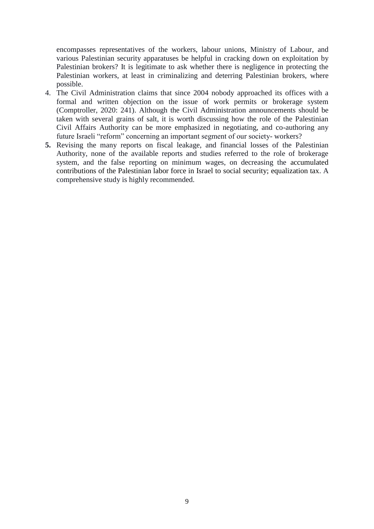encompasses representatives of the workers, labour unions, Ministry of Labour, and various Palestinian security apparatuses be helpful in cracking down on exploitation by Palestinian brokers? It is legitimate to ask whether there is negligence in protecting the Palestinian workers, at least in criminalizing and deterring Palestinian brokers, where possible.

- 4. The Civil Administration claims that since 2004 nobody approached its offices with a formal and written objection on the issue of work permits or brokerage system (Comptroller, 2020: 241). Although the Civil Administration announcements should be taken with several grains of salt, it is worth discussing how the role of the Palestinian Civil Affairs Authority can be more emphasized in negotiating, and co-authoring any future Israeli "reform" concerning an important segment of our society- workers?
- **5.** Revising the many reports on fiscal leakage, and financial losses of the Palestinian Authority, none of the available reports and studies referred to the role of brokerage system, and the false reporting on minimum wages, on decreasing the accumulated contributions of the Palestinian labor force in Israel to social security; equalization tax. A comprehensive study is highly recommended.